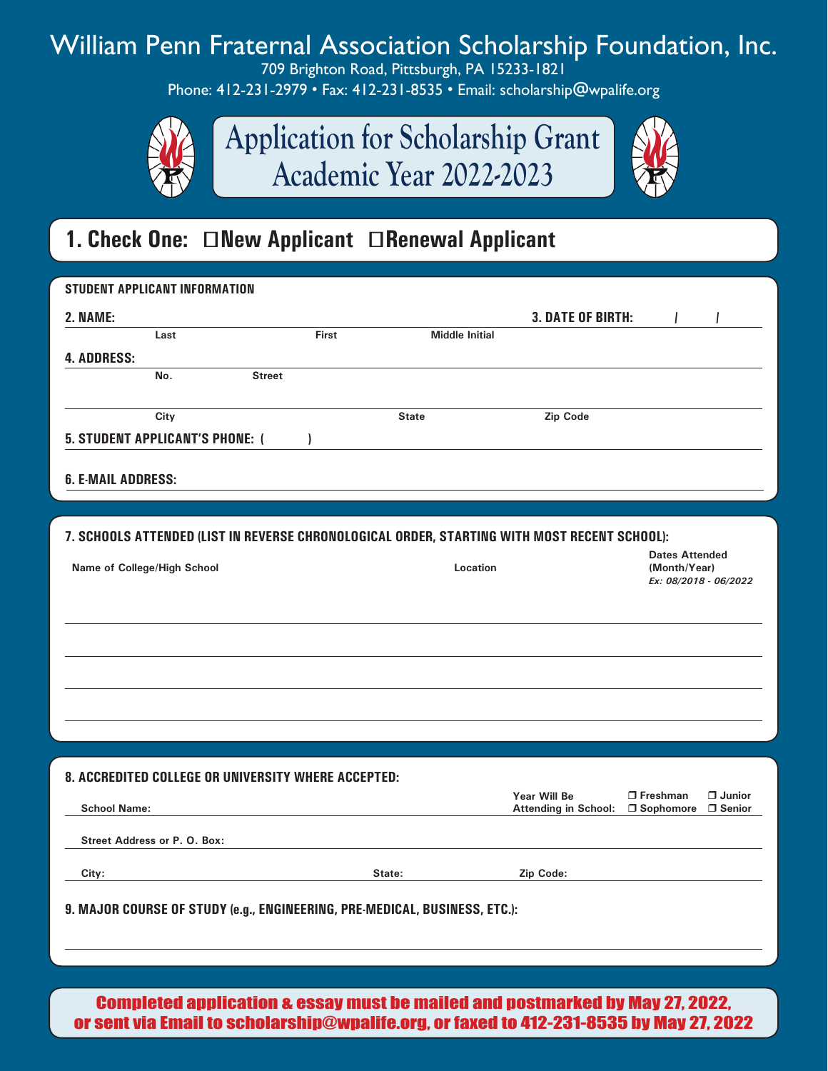## William Penn Fraternal Association Scholarship Foundation, Inc.

709 Brighton Road, Pittsburgh, PA 15233-1821 Phone: 412-231-2979 • Fax: 412-231-8535 • Email: scholarship@wpalife.org



**Application for Scholarship Grant Academic Year 2022-2023**



### **1. Check One: New Applicant Renewal Applicant**

| <b>STUDENT APPLICANT INFORMATION</b>                                                                 |              |                       |                                             |                                                        |
|------------------------------------------------------------------------------------------------------|--------------|-----------------------|---------------------------------------------|--------------------------------------------------------|
| 2. NAME:                                                                                             |              |                       | <b>3. DATE OF BIRTH:</b>                    |                                                        |
| Last                                                                                                 | First        | <b>Middle Initial</b> |                                             |                                                        |
| <b>4. ADDRESS:</b><br>No.<br><b>Street</b>                                                           |              |                       |                                             |                                                        |
|                                                                                                      |              |                       |                                             |                                                        |
| City                                                                                                 | <b>State</b> |                       | Zip Code                                    |                                                        |
| <b>5. STUDENT APPLICANT'S PHONE: (</b>                                                               |              |                       |                                             |                                                        |
|                                                                                                      |              |                       |                                             |                                                        |
| <b>6. E-MAIL ADDRESS:</b>                                                                            |              |                       |                                             |                                                        |
|                                                                                                      |              |                       |                                             |                                                        |
| 7. SCHOOLS ATTENDED (LIST IN REVERSE CHRONOLOGICAL ORDER, STARTING WITH MOST RECENT SCHOOL):         |              |                       |                                             | <b>Dates Attended</b>                                  |
| Name of College/High School                                                                          |              | Location              |                                             | (Month/Year)<br>Ex: 08/2018 - 06/2022                  |
|                                                                                                      |              |                       |                                             |                                                        |
|                                                                                                      |              |                       |                                             |                                                        |
|                                                                                                      |              |                       |                                             |                                                        |
|                                                                                                      |              |                       |                                             |                                                        |
|                                                                                                      |              |                       |                                             |                                                        |
|                                                                                                      |              |                       |                                             |                                                        |
|                                                                                                      |              |                       |                                             |                                                        |
| <b>8. ACCREDITED COLLEGE OR UNIVERSITY WHERE ACCEPTED:</b>                                           |              |                       |                                             |                                                        |
| <b>School Name:</b>                                                                                  |              |                       | Year Will Be<br><b>Attending in School:</b> | □ Junior<br>$\Box$ Freshman<br>□ Senior<br>□ Sophomore |
| Street Address or P. O. Box:                                                                         |              |                       |                                             |                                                        |
|                                                                                                      |              |                       |                                             |                                                        |
| City:                                                                                                | State:       |                       | Zip Code:                                   |                                                        |
| 9. MAJOR COURSE OF STUDY (e.g., ENGINEERING, PRE-MEDICAL, BUSINESS, ETC.):                           |              |                       |                                             |                                                        |
|                                                                                                      |              |                       |                                             |                                                        |
|                                                                                                      |              |                       |                                             |                                                        |
| Completed englisetion e-eoeey must be meiled and neetmerked by Mey 97-9099 (Completed englished in a |              |                       |                                             |                                                        |

Completed application & essay must be mailed and postmarked by May 27, 2022, or sent via Email to scholarship@wpalife.org, or faxed to 412-231-8535 by May 27, 2022